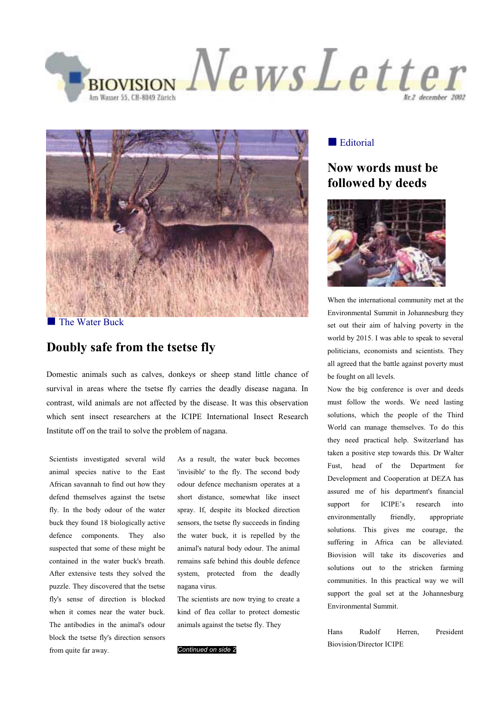



**The Water Buck** 

# **Doubly safe from the tsetse fly**

Domestic animals such as calves, donkeys or sheep stand little chance of survival in areas where the tsetse fly carries the deadly disease nagana. In contrast, wild animals are not affected by the disease. It was this observation which sent insect researchers at the ICIPE International Insect Research Institute off on the trail to solve the problem of nagana.

Scientists investigated several wild animal species native to the East African savannah to find out how they defend themselves against the tsetse fly. In the body odour of the water buck they found 18 biologically active defence components. They also suspected that some of these might be contained in the water buck's breath. After extensive tests they solved the puzzle. They discovered that the tsetse fly's sense of direction is blocked when it comes near the water buck. The antibodies in the animal's odour block the tsetse fly's direction sensors from quite far away.

As a result, the water buck becomes 'invisible' to the fly. The second body odour defence mechanism operates at a short distance, somewhat like insect spray. If, despite its blocked direction sensors, the tsetse fly succeeds in finding the water buck, it is repelled by the animal's natural body odour. The animal remains safe behind this double defence system, protected from the deadly nagana virus.

The scientists are now trying to create a kind of flea collar to protect domestic animals against the tsetse fly. They

#### *Continued on side 2*

#### **Editorial**

# **Now words must be followed by deeds**



When the international community met at the Environmental Summit in Johannesburg they set out their aim of halving poverty in the world by 2015. I was able to speak to several politicians, economists and scientists. They all agreed that the battle against poverty must be fought on all levels.

Now the big conference is over and deeds must follow the words. We need lasting solutions, which the people of the Third World can manage themselves. To do this they need practical help. Switzerland has taken a positive step towards this. Dr Walter Fust, head of the Department for Development and Cooperation at DEZA has assured me of his department's financial support for ICIPE's research into environmentally friendly, appropriate solutions. This gives me courage, the suffering in Africa can be alleviated. Biovision will take its discoveries and solutions out to the stricken farming communities. In this practical way we will support the goal set at the Johannesburg Environmental Summit.

Hans Rudolf Herren, President Biovision/Director ICIPE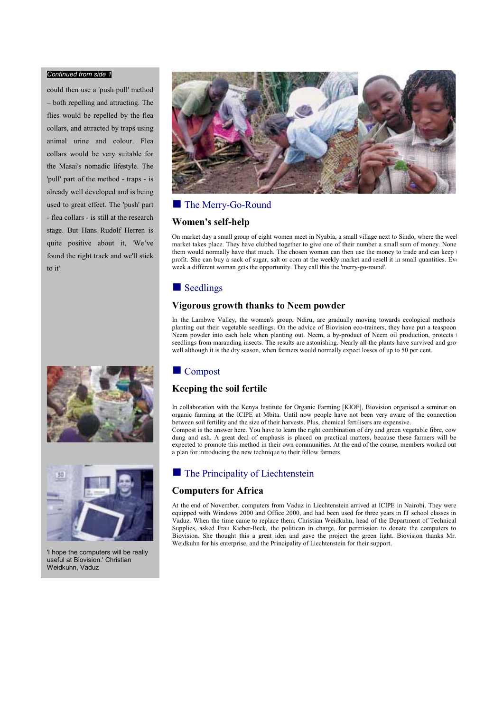#### *Continued from side 1*

could then use a 'push pull' method – both repelling and attracting. The flies would be repelled by the flea collars, and attracted by traps using animal urine and colour. Flea collars would be very suitable for the Masai's nomadic lifestyle. The 'pull' part of the method - traps - is already well developed and is being used to great effect. The 'push' part - flea collars - is still at the research stage. But Hans Rudolf Herren is quite positive about it, 'We've found the right track and we'll stick to it'





'I hope the computers will be really useful at Biovision.' Christian Weidkuhn, Vaduz



# ■ The Merry-Go-Round

#### **Women's self-help**

On market day a small group of eight women meet in Nyabia, a small village next to Sindo, where the week market takes place. They have clubbed together to give one of their number a small sum of money. None them would normally have that much. The chosen woman can then use the money to trade and can keep profit. She can buy a sack of sugar, salt or corn at the weekly market and resell it in small quantities. Ev week a different woman gets the opportunity. They call this the 'merry-go-round'.

## Seedlings

#### **Vigorous growth thanks to Neem powder**

In the Lambwe Valley, the women's group, Ndiru, are gradually moving towards ecological methods planting out their vegetable seedlings. On the advice of Biovision eco-trainers, they have put a teaspoon Neem powder into each hole when planting out. Neem, a by-product of Neem oil production, protects seedlings from marauding insects. The results are astonishing. Nearly all the plants have survived and gro well although it is the dry season, when farmers would normally expect losses of up to 50 per cent.

# **Compost**

# **Keeping the soil fertile**

In collaboration with the Kenya Institute for Organic Farming [KIOF], Biovision organised a seminar on organic farming at the ICIPE at Mbita. Until now people have not been very aware of the connection between soil fertility and the size of their harvests. Plus, chemical fertilisers are expensive. Compost is the answer here. You have to learn the right combination of dry and green vegetable fibre, cow dung and ash. A great deal of emphasis is placed on practical matters, because these farmers will be expected to promote this method in their own communities. At the end of the course, members worked out a plan for introducing the new technique to their fellow farmers.

# **The Principality of Liechtenstein**

#### **Computers for Africa**

At the end of November, computers from Vaduz in Liechtenstein arrived at ICIPE in Nairobi. They were equipped with Windows 2000 and Office 2000, and had been used for three years in IT school classes in Vaduz. When the time came to replace them, Christian Weidkuhn, head of the Department of Technical Supplies, asked Frau Kieber-Beck*,* the politican in charge, for permission to donate the computers to Biovision. She thought this a great idea and gave the project the green light. Biovision thanks Mr. Weidkuhn for his enterprise, and the Principality of Liechtenstein for their support.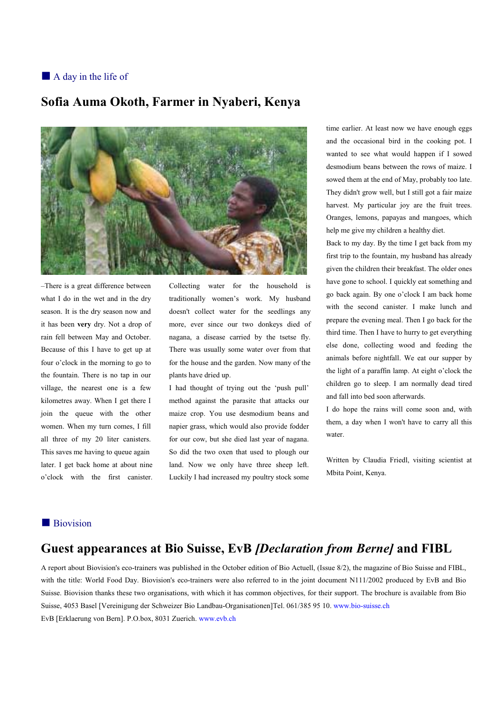# A day in the life of

# **Sofia Auma Okoth, Farmer in Nyaberi, Kenya**



–There is a great difference between what I do in the wet and in the dry season. It is the dry season now and it has been **very** dry. Not a drop of rain fell between May and October. Because of this I have to get up at four o'clock in the morning to go to the fountain. There is no tap in our village, the nearest one is a few kilometres away. When I get there I join the queue with the other women. When my turn comes, I fill all three of my 20 liter canisters. This saves me having to queue again later. I get back home at about nine o'clock with the first canister.

Collecting water for the household is traditionally women's work. My husband doesn't collect water for the seedlings any more, ever since our two donkeys died of nagana, a disease carried by the tsetse fly. There was usually some water over from that for the house and the garden. Now many of the plants have dried up.

I had thought of trying out the 'push pull' method against the parasite that attacks our maize crop. You use desmodium beans and napier grass, which would also provide fodder for our cow, but she died last year of nagana. So did the two oxen that used to plough our land. Now we only have three sheep left. Luckily I had increased my poultry stock some

time earlier. At least now we have enough eggs and the occasional bird in the cooking pot. I wanted to see what would happen if I sowed desmodium beans between the rows of maize. I sowed them at the end of May, probably too late. They didn't grow well, but I still got a fair maize harvest. My particular joy are the fruit trees. Oranges, lemons, papayas and mangoes, which help me give my children a healthy diet.

Back to my day. By the time I get back from my first trip to the fountain, my husband has already given the children their breakfast. The older ones have gone to school. I quickly eat something and go back again. By one o'clock I am back home with the second canister. I make lunch and prepare the evening meal. Then I go back for the third time. Then I have to hurry to get everything else done, collecting wood and feeding the animals before nightfall. We eat our supper by the light of a paraffin lamp. At eight o'clock the children go to sleep. I am normally dead tired and fall into bed soon afterwards.

I do hope the rains will come soon and, with them, a day when I won't have to carry all this water.

Written by Claudia Friedl, visiting scientist at Mbita Point, Kenya.

# **Biovision**

# **Guest appearances at Bio Suisse, EvB** *[Declaration from Berne]* **and FIBL**

A report about Biovision's eco-trainers was published in the October edition of Bio Actuell, (Issue 8/2), the magazine of Bio Suisse and FIBL, with the title: World Food Day. Biovision's eco-trainers were also referred to in the joint document N111/2002 produced by EvB and Bio Suisse. Biovision thanks these two organisations, with which it has common objectives, for their support. The brochure is available from Bio Suisse, 4053 Basel [Vereinigung der Schweizer Bio Landbau-Organisationen]Tel. 061/385 95 10. www.bio-suisse.ch EvB [Erklaerung von Bern]. P.O.box, 8031 Zuerich. www.evb.ch